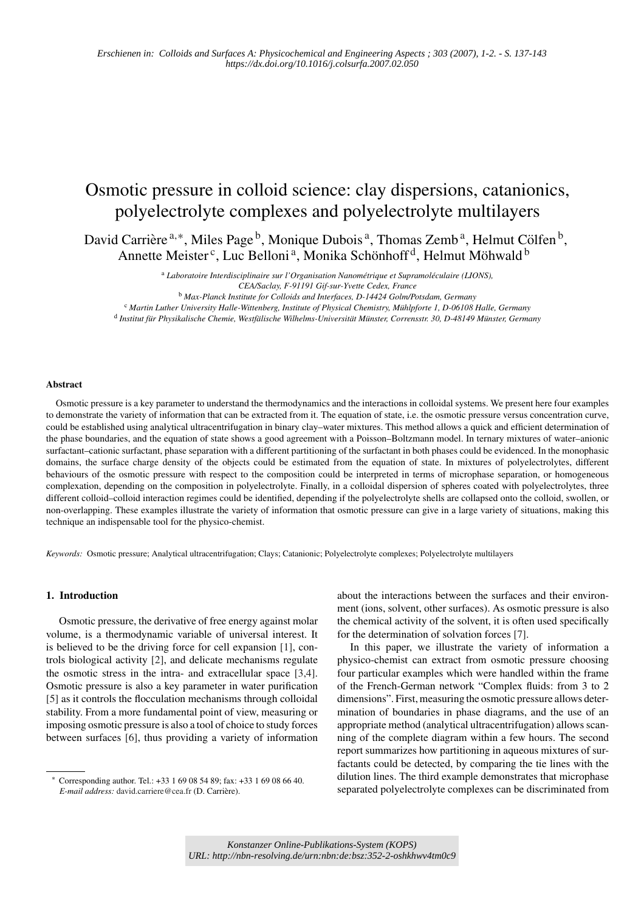# Osmotic pressure in colloid science: clay dispersions, catanionics, polyelectrolyte complexes and polyelectrolyte multilayers

David Carrière  $a, *$ , Miles Page  $\overline{b}$ , Monique Dubois  $\overline{a}$ , Thomas Zemb  $\overline{a}$ , Helmut Cölfen  $\overline{b}$ , Annette Meister<sup>c</sup>, Luc Belloni<sup>a</sup>, Monika Schönhoff<sup>d</sup>, Helmut Möhwald<sup>b</sup>

> <sup>a</sup> Laboratoire Interdisciplinaire sur l'Organisation Nanométrique et Supramoléculaire (LIONS), *CEA/Saclay, F-91191 Gif-sur-Yvette Cedex, France*

<sup>b</sup> *Max-Planck Institute for Colloids and Interfaces, D-14424 Golm/Potsdam, Germany*

<sup>c</sup> Martin Luther University Halle-Wittenberg, Institute of Physical Chemistry, Mühlpforte 1, D-06108 Halle, Germany <sup>d</sup> Institut für Physikalische Chemie, Westfälische Wilhelms-Universität Münster, Corrensstr. 30, D-48149 Münster, Germany

#### **Abstract**

Osmotic pressure is a key parameter to understand the thermodynamics and the interactions in colloidal systems. We present here four examples to demonstrate the variety of information that can be extracted from it. The equation of state, i.e. the osmotic pressure versus concentration curve, could be established using analytical ultracentrifugation in binary clay–water mixtures. This method allows a quick and efficient determination of the phase boundaries, and the equation of state shows a good agreement with a Poisson–Boltzmann model. In ternary mixtures of water–anionic surfactant–cationic surfactant, phase separation with a different partitioning of the surfactant in both phases could be evidenced. In the monophasic domains, the surface charge density of the objects could be estimated from the equation of state. In mixtures of polyelectrolytes, different behaviours of the osmotic pressure with respect to the composition could be interpreted in terms of microphase separation, or homogeneous complexation, depending on the composition in polyelectrolyte. Finally, in a colloidal dispersion of spheres coated with polyelectrolytes, three different colloid–colloid interaction regimes could be identified, depending if the polyelectrolyte shells are collapsed onto the colloid, swollen, or non-overlapping. These examples illustrate the variety of information that osmotic pressure can give in a large variety of situations, making this technique an indispensable tool for the physico-chemist.

*Keywords:* Osmotic pressure; Analytical ultracentrifugation; Clays; Catanionic; Polyelectrolyte complexes; Polyelectrolyte multilayers

#### **1. Introduction**

Osmotic pressure, the derivative of free energy against molar volume, is a thermodynamic variable of universal interest. It is believed to be the driving force for cell expansion [1], controls biological activity [2], and delicate mechanisms regulate the osmotic stress in the intra- and extracellular space [3,4]. Osmotic pressure is also a key parameter in water purification [5] as it controls the flocculation mechanisms through colloidal stability. From a more fundamental point of view, measuring or imposing osmotic pressure is also a tool of choice to study forces between surfaces [6], thus providing a variety of information

about the interactions between the surfaces and their environment (ions, solvent, other surfaces). As osmotic pressure is also the chemical activity of the solvent, it is often used specifically for the determination of solvation forces [7].

In this paper, we illustrate the variety of information a physico-chemist can extract from osmotic pressure choosing four particular examples which were handled within the frame of the French-German network "Complex fluids: from 3 to 2 dimensions". First, measuring the osmotic pressure allows determination of boundaries in phase diagrams, and the use of an appropriate method (analytical ultracentrifugation) allows scanning of the complete diagram within a few hours. The second report summarizes how partitioning in aqueous mixtures of surfactants could be detected, by comparing the tie lines with the dilution lines. The third example demonstrates that microphase separated polyelectrolyte complexes can be discriminated from

<sup>∗</sup> Corresponding author. Tel.: +33 1 69 08 54 89; fax: +33 1 69 08 66 40. *E-mail address:* david.carriere@cea.fr (D. Carriere). `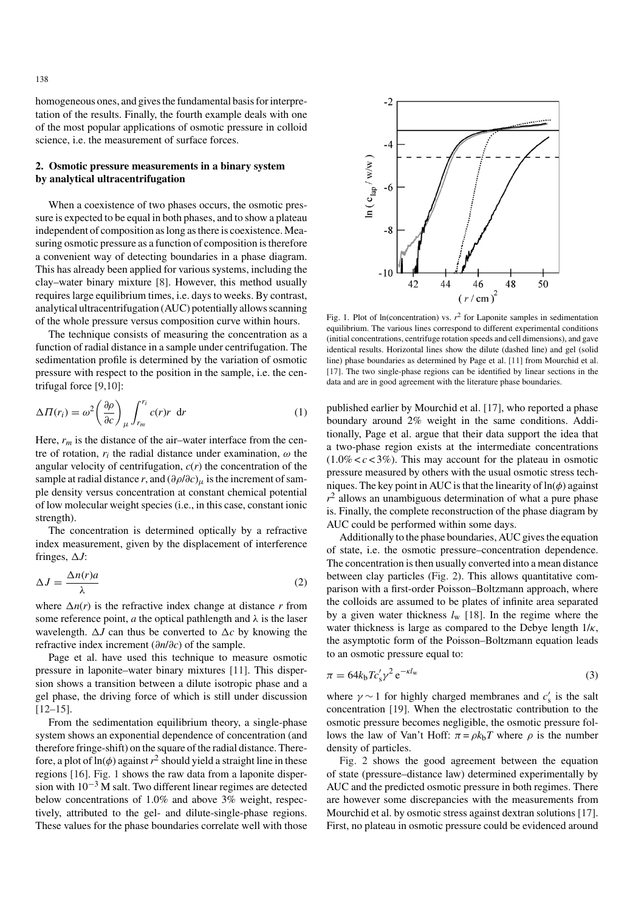homogeneous ones, and gives the fundamental basis for interpretation of the results. Finally, the fourth example deals with one of the most popular applications of osmotic pressure in colloid science, i.e. the measurement of surface forces.

# **2. Osmotic pressure measurements in a binary system by analytical ultracentrifugation**

When a coexistence of two phases occurs, the osmotic pressure is expected to be equal in both phases, and to show a plateau independent of composition as long as there is coexistence. Measuring osmotic pressure as a function of composition is therefore a convenient way of detecting boundaries in a phase diagram. This has already been applied for various systems, including the clay–water binary mixture [8]. However, this method usually requires large equilibrium times, i.e. days to weeks. By contrast, analytical ultracentrifugation (AUC) potentially allows scanning of the whole pressure versus composition curve within hours.

The technique consists of measuring the concentration as a function of radial distance in a sample under centrifugation. The sedimentation profile is determined by the variation of osmotic pressure with respect to the position in the sample, i.e. the centrifugal force [9,10]:

$$
\Delta \Pi(r_i) = \omega^2 \left(\frac{\partial \rho}{\partial c}\right)_{\mu} \int_{r_m}^{r_i} c(r)r \, dr \tag{1}
$$

Here,  $r_m$  is the distance of the air–water interface from the centre of rotation,  $r_i$  the radial distance under examination,  $\omega$  the angular velocity of centrifugation, *c*(*r*) the concentration of the sample at radial distance *r*, and  $(\partial \rho/\partial c)$ <sub>μ</sub> is the increment of sample density versus concentration at constant chemical potential of low molecular weight species (i.e., in this case, constant ionic strength).

The concentration is determined optically by a refractive index measurement, given by the displacement of interference fringes,  $\Delta J$ :

$$
\Delta J = \frac{\Delta n(r)a}{\lambda}
$$
 (2)

where  $\Delta n(r)$  is the refractive index change at distance *r* from<br>some reference point *a* the optical pathlength and *λ* is the laser some reference point, *a* the optical pathlength and  $\lambda$  is the laser wavelength.  $\Delta J$  can thus be converted to  $\Delta c$  by knowing the refractive index increment  $(\partial u/\partial c)$  of the sample refractive index increment (∂*n*/∂*c*) of the sample.

Page et al. have used this technique to measure osmotic pressure in laponite–water binary mixtures [11]. This dispersion shows a transition between a dilute isotropic phase and a gel phase, the driving force of which is still under discussion  $[12–15]$ .

From the sedimentation equilibrium theory, a single-phase system shows an exponential dependence of concentration (and therefore fringe-shift) on the square of the radial distance. Therefore, a plot of  $ln(\phi)$  against  $r^2$  should yield a straight line in these regions [16]. Fig. 1 shows the raw data from a laponite dispersion with 10−<sup>3</sup> M salt. Two different linear regimes are detected below concentrations of 1.0% and above 3% weight, respectively, attributed to the gel- and dilute-single-phase regions. These values for the phase boundaries correlate well with those



Fig. 1. Plot of ln(concentration) vs.  $r^2$  for Laponite samples in sedimentation equilibrium. The various lines correspond to different experimental conditions (initial concentrations, centrifuge rotation speeds and cell dimensions), and gave identical results. Horizontal lines show the dilute (dashed line) and gel (solid line) phase boundaries as determined by Page et al. [11] from Mourchid et al. [17]. The two single-phase regions can be identified by linear sections in the data and are in good agreement with the literature phase boundaries.

published earlier by Mourchid et al. [17], who reported a phase boundary around 2% weight in the same conditions. Additionally, Page et al. argue that their data support the idea that a two-phase region exists at the intermediate concentrations  $(1.0\% < c < 3\%)$ . This may account for the plateau in osmotic pressure measured by others with the usual osmotic stress techniques. The key point in AUC is that the linearity of  $ln(\phi)$  against  $r<sup>2</sup>$  allows an unambiguous determination of what a pure phase is. Finally, the complete reconstruction of the phase diagram by AUC could be performed within some days.

Additionally to the phase boundaries, AUC gives the equation of state, i.e. the osmotic pressure–concentration dependence. The concentration is then usually converted into a mean distance between clay particles (Fig. 2). This allows quantitative comparison with a first-order Poisson–Boltzmann approach, where the colloids are assumed to be plates of infinite area separated by a given water thickness *l*<sup>w</sup> [18]. In the regime where the water thickness is large as compared to the Debye length  $1/\kappa$ , the asymptotic form of the Poisson–Boltzmann equation leads to an osmotic pressure equal to:

$$
\pi = 64k_b T c_s' \gamma^2 e^{-\kappa l_w} \tag{3}
$$

where  $\gamma \sim 1$  for highly charged membranes and  $c'_{s}$  is the salt<br>concentration [19]. When the electrostatic contribution to the concentration [19]. When the electrostatic contribution to the osmotic pressure becomes negligible, the osmotic pressure follows the law of Van't Hoff:  $\pi = \rho k_b T$  where  $\rho$  is the number density of particles.

Fig. 2 shows the good agreement between the equation of state (pressure–distance law) determined experimentally by AUC and the predicted osmotic pressure in both regimes. There are however some discrepancies with the measurements from Mourchid et al. by osmotic stress against dextran solutions [17]. First, no plateau in osmotic pressure could be evidenced around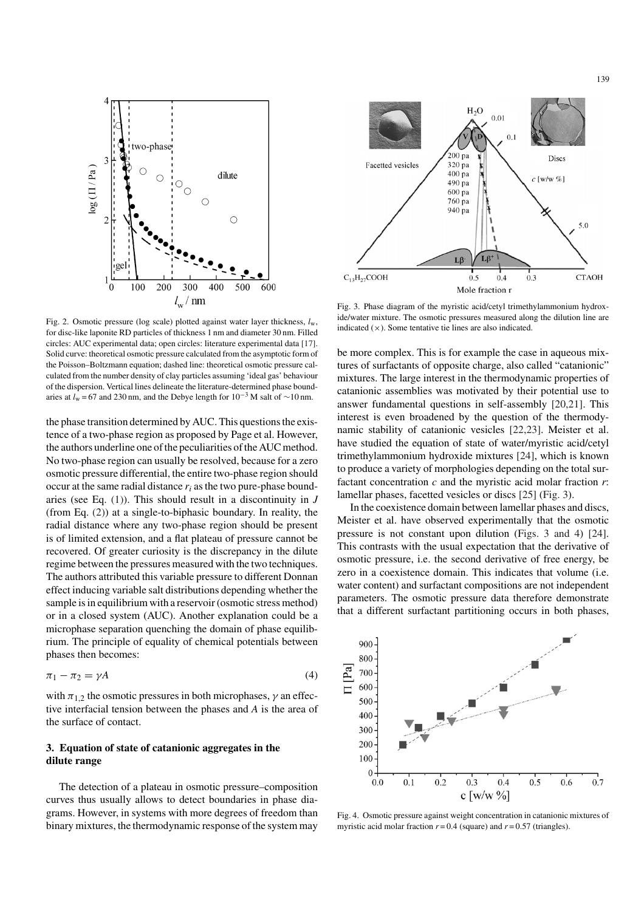

Fig. 2. Osmotic pressure (log scale) plotted against water layer thickness, *l*w, for disc-like laponite RD particles of thickness 1 nm and diameter 30 nm. Filled circles: AUC experimental data; open circles: literature experimental data [17]. Solid curve: theoretical osmotic pressure calculated from the asymptotic form of the Poisson–Boltzmann equation; dashed line: theoretical osmotic pressure calculated from the number density of clay particles assuming 'ideal gas' behaviour of the dispersion. Vertical lines delineate the literature-determined phase boundaries at  $l_w$  = 67 and 230 nm, and the Debye length for 10<sup>-3</sup> M salt of ~10 nm.

the phase transition determined by AUC. This questions the existence of a two-phase region as proposed by Page et al. However, the authors underline one of the peculiarities of the AUC method. No two-phase region can usually be resolved, because for a zero osmotic pressure differential, the entire two-phase region should occur at the same radial distance  $r_i$  as the two pure-phase boundaries (see Eq. (1)). This should result in a discontinuity in *J* (from Eq. (2)) at a single-to-biphasic boundary. In reality, the radial distance where any two-phase region should be present is of limited extension, and a flat plateau of pressure cannot be recovered. Of greater curiosity is the discrepancy in the dilute regime between the pressures measured with the two techniques. The authors attributed this variable pressure to different Donnan effect inducing variable salt distributions depending whether the sample is in equilibrium with a reservoir (osmotic stress method) or in a closed system (AUC). Another explanation could be a microphase separation quenching the domain of phase equilibrium. The principle of equality of chemical potentials between phases then becomes:

$$
\pi_1 - \pi_2 = \gamma A \tag{4}
$$

with  $\pi_{1,2}$  the osmotic pressures in both microphases,  $\gamma$  an effective interfacial tension between the phases and *A* is the area of the surface of contact.

## **3. Equation of state of catanionic aggregates in the dilute range**

The detection of a plateau in osmotic pressure–composition curves thus usually allows to detect boundaries in phase diagrams. However, in systems with more degrees of freedom than binary mixtures, the thermodynamic response of the system may



Fig. 3. Phase diagram of the myristic acid/cetyl trimethylammonium hydroxide/water mixture. The osmotic pressures measured along the dilution line are indicated  $(x)$ . Some tentative tie lines are also indicated.

be more complex. This is for example the case in aqueous mixtures of surfactants of opposite charge, also called "catanionic" mixtures. The large interest in the thermodynamic properties of catanionic assemblies was motivated by their potential use to answer fundamental questions in self-assembly [20,21]. This interest is even broadened by the question of the thermodynamic stability of catanionic vesicles [22,23]. Meister et al. have studied the equation of state of water/myristic acid/cetyl trimethylammonium hydroxide mixtures [24], which is known to produce a variety of morphologies depending on the total surfactant concentration *c* and the myristic acid molar fraction *r*: lamellar phases, facetted vesicles or discs [25] (Fig. 3).

In the coexistence domain between lamellar phases and discs, Meister et al. have observed experimentally that the osmotic pressure is not constant upon dilution (Figs. 3 and 4) [24]. This contrasts with the usual expectation that the derivative of osmotic pressure, i.e. the second derivative of free energy, be zero in a coexistence domain. This indicates that volume (i.e. water content) and surfactant compositions are not independent parameters. The osmotic pressure data therefore demonstrate that a different surfactant partitioning occurs in both phases,



Fig. 4. Osmotic pressure against weight concentration in catanionic mixtures of myristic acid molar fraction  $r = 0.4$  (square) and  $r = 0.57$  (triangles).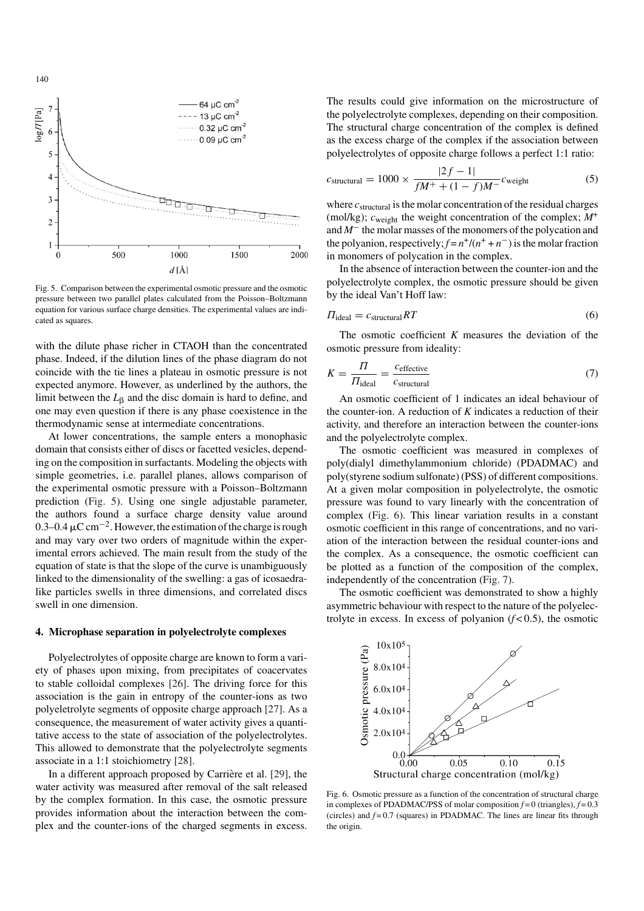

140

Fig. 5. Comparison between the experimental osmotic pressure and the osmotic pressure between two parallel plates calculated from the Poisson–Boltzmann equation for various surface charge densities. The experimental values are indicated as squares.

with the dilute phase richer in CTAOH than the concentrated phase. Indeed, if the dilution lines of the phase diagram do not coincide with the tie lines a plateau in osmotic pressure is not expected anymore. However, as underlined by the authors, the limit between the  $L_{\beta}$  and the disc domain is hard to define, and one may even question if there is any phase coexistence in the thermodynamic sense at intermediate concentrations.

At lower concentrations, the sample enters a monophasic domain that consists either of discs or facetted vesicles, depending on the composition in surfactants. Modeling the objects with simple geometries, i.e. parallel planes, allows comparison of the experimental osmotic pressure with a Poisson–Boltzmann prediction (Fig. 5). Using one single adjustable parameter, the authors found a surface charge density value around 0.3–0.4  $\mu$ C cm<sup>-2</sup>. However, the estimation of the charge is rough and may vary over two orders of magnitude within the experimental errors achieved. The main result from the study of the equation of state is that the slope of the curve is unambiguously linked to the dimensionality of the swelling: a gas of icosaedralike particles swells in three dimensions, and correlated discs swell in one dimension.

## **4. Microphase separation in polyelectrolyte complexes**

Polyelectrolytes of opposite charge are known to form a variety of phases upon mixing, from precipitates of coacervates to stable colloidal complexes [26]. The driving force for this association is the gain in entropy of the counter-ions as two polyeletrolyte segments of opposite charge approach [27]. As a consequence, the measurement of water activity gives a quantitative access to the state of association of the polyelectrolytes. This allowed to demonstrate that the polyelectrolyte segments associate in a 1:1 stoichiometry [28].

In a different approach proposed by Carrière et al. [29], the water activity was measured after removal of the salt released by the complex formation. In this case, the osmotic pressure provides information about the interaction between the complex and the counter-ions of the charged segments in excess. The results could give information on the microstructure of the polyelectrolyte complexes, depending on their composition. The structural charge concentration of the complex is defined as the excess charge of the complex if the association between polyelectrolytes of opposite charge follows a perfect 1:1 ratio:

$$
c_{\text{structural}} = 1000 \times \frac{|2f - 1|}{fM^+ + (1 - f)M^-} c_{\text{weight}}
$$
 (5)

where  $c_{\text{structural}}$  is the molar concentration of the residual charges (mol/kg);  $c_{weight}$  the weight concentration of the complex;  $M^{+}$ and *M*− the molar masses of the monomers of the polycation and the polyanion, respectively;  $f = n^+/ (n^+ + n^-)$  is the molar fraction in monomers of polycation in the complex.

In the absence of interaction between the counter-ion and the polyelectrolyte complex, the osmotic pressure should be given by the ideal Van't Hoff law:

$$
\Pi_{\text{ideal}} = c_{\text{structural}} RT \tag{6}
$$

The osmotic coefficient *K* measures the deviation of the osmotic pressure from ideality:

$$
K = \frac{\Pi}{\Pi_{\text{ideal}}} = \frac{c_{\text{effective}}}{c_{\text{structural}}} \tag{7}
$$

An osmotic coefficient of 1 indicates an ideal behaviour of the counter-ion. A reduction of *K* indicates a reduction of their activity, and therefore an interaction between the counter-ions and the polyelectrolyte complex.

The osmotic coefficient was measured in complexes of poly(dialyl dimethylammonium chloride) (PDADMAC) and poly(styrene sodium sulfonate) (PSS) of different compositions. At a given molar composition in polyelectrolyte, the osmotic pressure was found to vary linearly with the concentration of complex (Fig. 6). This linear variation results in a constant osmotic coefficient in this range of concentrations, and no variation of the interaction between the residual counter-ions and the complex. As a consequence, the osmotic coefficient can be plotted as a function of the composition of the complex, independently of the concentration (Fig. 7).

The osmotic coefficient was demonstrated to show a highly asymmetric behaviour with respect to the nature of the polyelectrolyte in excess. In excess of polyanion  $(f < 0.5)$ , the osmotic



Fig. 6. Osmotic pressure as a function of the concentration of structural charge in complexes of PDADMAC/PSS of molar composition  $f = 0$  (triangles),  $f = 0.3$ (circles) and  $f = 0.7$  (squares) in PDADMAC. The lines are linear fits through the origin.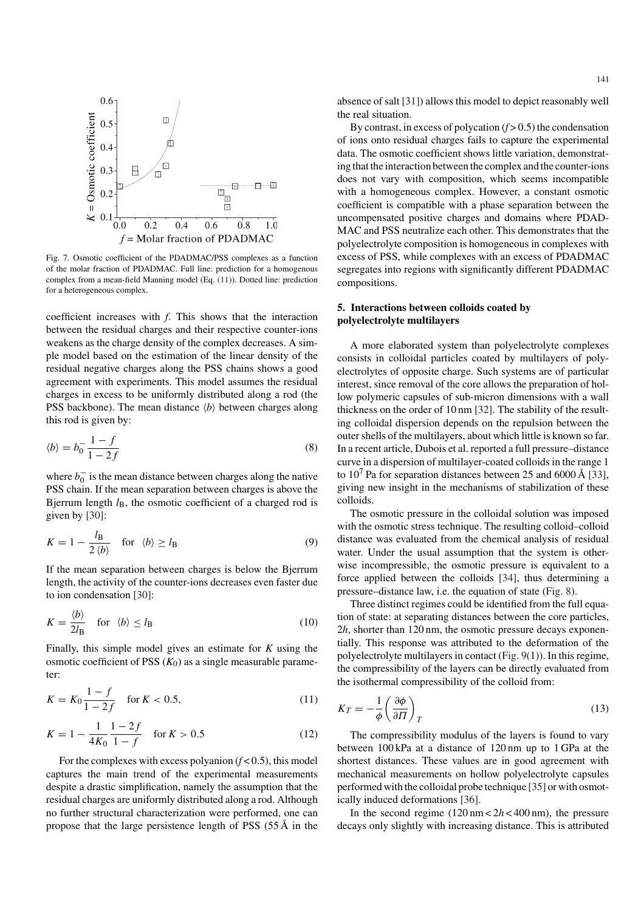

Fig. 7. Osmotic coefficient of the PDADMAC/PSS complexes as a function of the molar fraction of PDADMAC. Full line: prediction for a homogenous complex from a mean-field Manning model (Eq. (11)). Dotted line: prediction for a heterogeneous complex.

coefficient increases with *f*. This shows that the interaction between the residual charges and their respective counter-ions weakens as the charge density of the complex decreases. A simple model based on the estimation of the linear density of the residual negative charges along the PSS chains shows a good agreement with experiments. This model assumes the residual charges in excess to be uniformly distributed along a rod (the PSS backbone). The mean distance  $\langle b \rangle$  between charges along this rod is given by:

$$
\langle b \rangle = b_0^- \frac{1 - f}{1 - 2f} \tag{8}
$$

where  $b_0^-$  is the mean distance between charges along the native<br>PSS chain. If the mean senaration between charges is above the PSS chain. If the mean separation between charges is above the Bjerrum length  $l_B$ , the osmotic coefficient of a charged rod is given by [30]:

$$
K = 1 - \frac{l_{\rm B}}{2 \langle b \rangle} \quad \text{for} \quad \langle b \rangle \ge l_{\rm B} \tag{9}
$$

If the mean separation between charges is below the Bjerrum length, the activity of the counter-ions decreases even faster due to ion condensation [30]:

$$
K = \frac{\langle b \rangle}{2l_{\text{B}}} \quad \text{for} \quad \langle b \rangle \le l_{\text{B}} \tag{10}
$$

Finally, this simple model gives an estimate for *K* using the osmotic coefficient of PSS  $(K_0)$  as a single measurable parameter:

$$
K = K_0 \frac{1 - f}{1 - 2f} \quad \text{for } K < 0.5,\tag{11}
$$

$$
K = 1 - \frac{1}{4K_0} \frac{1 - 2f}{1 - f} \quad \text{for } K > 0.5
$$
 (12)

For the complexes with excess polyanion  $(f < 0.5)$ , this model captures the main trend of the experimental measurements despite a drastic simplification, namely the assumption that the residual charges are uniformly distributed along a rod. Although no further structural characterization were performed, one can propose that the large persistence length of PSS  $(55 \text{ Å})$  in the

absence of salt [31]) allows this model to depict reasonably well the real situation.

By contrast, in excess of polycation  $(f > 0.5)$  the condensation of ions onto residual charges fails to capture the experimental data. The osmotic coefficient shows little variation, demonstrating that the interaction between the complex and the counter-ions does not vary with composition, which seems incompatible with a homogeneous complex. However, a constant osmotic coefficient is compatible with a phase separation between the uncompensated positive charges and domains where PDAD-MAC and PSS neutralize each other. This demonstrates that the polyelectrolyte composition is homogeneous in complexes with excess of PSS, while complexes with an excess of PDADMAC segregates into regions with significantly different PDADMAC compositions.

# **5. Interactions between colloids coated by polyelectrolyte multilayers**

A more elaborated system than polyelectrolyte complexes consists in colloidal particles coated by multilayers of polyelectrolytes of opposite charge. Such systems are of particular interest, since removal of the core allows the preparation of hollow polymeric capsules of sub-micron dimensions with a wall thickness on the order of 10 nm [32]. The stability of the resulting colloidal dispersion depends on the repulsion between the outer shells of the multilayers, about which little is known so far. In a recent article, Dubois et al. reported a full pressure–distance curve in a dispersion of multilayer-coated colloids in the range 1 to  $10^7$  Pa for separation distances between 25 and 6000 Å [33], giving new insight in the mechanisms of stabilization of these colloids.

The osmotic pressure in the colloidal solution was imposed with the osmotic stress technique. The resulting colloid–colloid distance was evaluated from the chemical analysis of residual water. Under the usual assumption that the system is otherwise incompressible, the osmotic pressure is equivalent to a force applied between the colloids [34], thus determining a pressure–distance law, i.e. the equation of state (Fig. 8).

Three distinct regimes could be identified from the full equation of state: at separating distances between the core particles, 2*h*, shorter than 120 nm, the osmotic pressure decays exponentially. This response was attributed to the deformation of the polyelectrolyte multilayers in contact (Fig. 9(1)). In this regime, the compressibility of the layers can be directly evaluated from the isothermal compressibility of the colloid from:

$$
K_T = -\frac{1}{\phi} \left( \frac{\partial \phi}{\partial T} \right)_T \tag{13}
$$

The compressibility modulus of the layers is found to vary between 100 kPa at a distance of 120 nm up to 1 GPa at the shortest distances. These values are in good agreement with mechanical measurements on hollow polyelectrolyte capsules performed with the colloidal probe technique [35] or with osmotically induced deformations [36].

In the second regime  $(120 \text{ nm} < 2h < 400 \text{ nm})$ , the pressure decays only slightly with increasing distance. This is attributed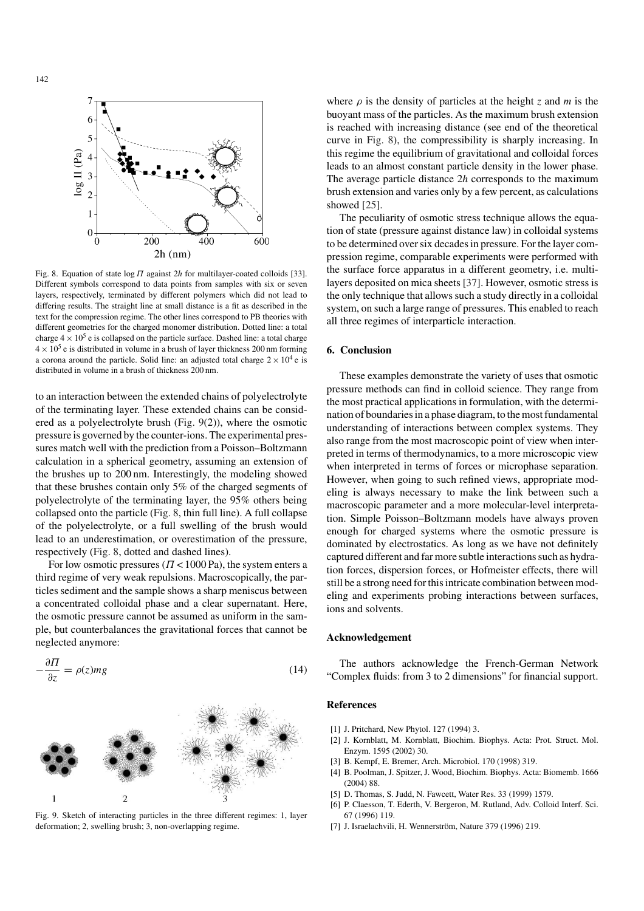

Fig. 8. Equation of state log Π against 2*<sup>h</sup>* for multilayer-coated colloids [33]. Different symbols correspond to data points from samples with six or seven layers, respectively, terminated by different polymers which did not lead to differing results. The straight line at small distance is a fit as described in the text for the compression regime. The other lines correspond to PB theories with different geometries for the charged monomer distribution. Dotted line: a total charge  $4 \times 10^5$  e is collapsed on the particle surface. Dashed line: a total charge  $4 \times 10^5$  e is distributed in volume in a brush of layer thickness 200 nm forming a corona around the particle. Solid line: an adjusted total charge  $2 \times 10^4$  e is distributed in volume in a brush of thickness 200 nm.

to an interaction between the extended chains of polyelectrolyte of the terminating layer. These extended chains can be considered as a polyelectrolyte brush (Fig. 9(2)), where the osmotic pressure is governed by the counter-ions. The experimental pressures match well with the prediction from a Poisson–Boltzmann calculation in a spherical geometry, assuming an extension of the brushes up to 200 nm. Interestingly, the modeling showed that these brushes contain only 5% of the charged segments of polyelectrolyte of the terminating layer, the 95% others being collapsed onto the particle (Fig. 8, thin full line). A full collapse of the polyelectrolyte, or a full swelling of the brush would lead to an underestimation, or overestimation of the pressure, respectively (Fig. 8, dotted and dashed lines).

For low osmotic pressures ( $\Pi$  < 1000 Pa), the system enters a third regime of very weak repulsions. Macroscopically, the particles sediment and the sample shows a sharp meniscus between a concentrated colloidal phase and a clear supernatant. Here, the osmotic pressure cannot be assumed as uniform in the sample, but counterbalances the gravitational forces that cannot be neglected anymore:



Fig. 9. Sketch of interacting particles in the three different regimes: 1, layer deformation; 2, swelling brush; 3, non-overlapping regime.

where  $\rho$  is the density of particles at the height *z* and *m* is the buoyant mass of the particles. As the maximum brush extension is reached with increasing distance (see end of the theoretical curve in Fig. 8), the compressibility is sharply increasing. In this regime the equilibrium of gravitational and colloidal forces leads to an almost constant particle density in the lower phase. The average particle distance 2*h* corresponds to the maximum brush extension and varies only by a few percent, as calculations showed [25].

The peculiarity of osmotic stress technique allows the equation of state (pressure against distance law) in colloidal systems to be determined over six decades in pressure. For the layer compression regime, comparable experiments were performed with the surface force apparatus in a different geometry, i.e. multilayers deposited on mica sheets [37]. However, osmotic stress is the only technique that allows such a study directly in a colloidal system, on such a large range of pressures. This enabled to reach all three regimes of interparticle interaction.

# **6. Conclusion**

These examples demonstrate the variety of uses that osmotic pressure methods can find in colloid science. They range from the most practical applications in formulation, with the determination of boundaries in a phase diagram, to the most fundamental understanding of interactions between complex systems. They also range from the most macroscopic point of view when interpreted in terms of thermodynamics, to a more microscopic view when interpreted in terms of forces or microphase separation. However, when going to such refined views, appropriate modeling is always necessary to make the link between such a macroscopic parameter and a more molecular-level interpretation. Simple Poisson–Boltzmann models have always proven enough for charged systems where the osmotic pressure is dominated by electrostatics. As long as we have not definitely captured different and far more subtle interactions such as hydration forces, dispersion forces, or Hofmeister effects, there will still be a strong need for this intricate combination between modeling and experiments probing interactions between surfaces, ions and solvents.

#### **Acknowledgement**

The authors acknowledge the French-German Network "Complex fluids: from 3 to 2 dimensions" for financial support.

## **References**

- [1] J. Pritchard, New Phytol. 127 (1994) 3.
- [2] J. Kornblatt, M. Kornblatt, Biochim. Biophys. Acta: Prot. Struct. Mol. Enzym. 1595 (2002) 30.
- [3] B. Kempf, E. Bremer, Arch. Microbiol. 170 (1998) 319.
- [4] B. Poolman, J. Spitzer, J. Wood, Biochim. Biophys. Acta: Biomemb. 1666 (2004) 88.
- [5] D. Thomas, S. Judd, N. Fawcett, Water Res. 33 (1999) 1579.
- [6] P. Claesson, T. Ederth, V. Bergeron, M. Rutland, Adv. Colloid Interf. Sci. 67 (1996) 119.
- [7] J. Israelachvili, H. Wennerström, Nature 379 (1996) 219.